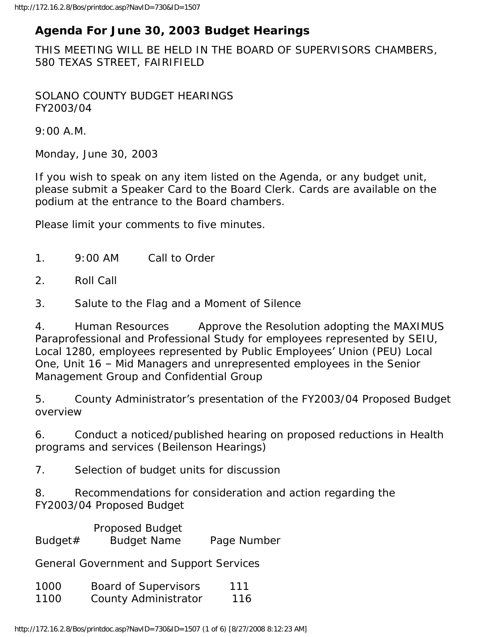## **Agenda For June 30, 2003 Budget Hearings**

THIS MEETING WILL BE HELD IN THE BOARD OF SUPERVISORS CHAMBERS, 580 TEXAS STREET, FAIRIFIELD

SOLANO COUNTY BUDGET HEARINGS FY2003/04

9:00 A.M.

Monday, June 30, 2003

If you wish to speak on any item listed on the Agenda, or any budget unit, please submit a Speaker Card to the Board Clerk. Cards are available on the podium at the entrance to the Board chambers.

Please limit your comments to five minutes.

- 1. 9:00 AM Call to Order
- 2. Roll Call
- 3. Salute to the Flag and a Moment of Silence

4. Human Resources Approve the Resolution adopting the MAXIMUS Paraprofessional and Professional Study for employees represented by SEIU, Local 1280, employees represented by Public Employees' Union (PEU) Local One, Unit 16 – Mid Managers and unrepresented employees in the Senior Management Group and Confidential Group

5. County Administrator's presentation of the FY2003/04 Proposed Budget overview

6. Conduct a noticed/published hearing on proposed reductions in Health programs and services (Beilenson Hearings)

7. Selection of budget units for discussion

8. Recommendations for consideration and action regarding the FY2003/04 Proposed Budget

 Proposed Budget Budget# Budget Name Page Number

General Government and Support Services

| 1000 | <b>Board of Supervisors</b> | 111 |
|------|-----------------------------|-----|
| 1100 | County Administrator        | 116 |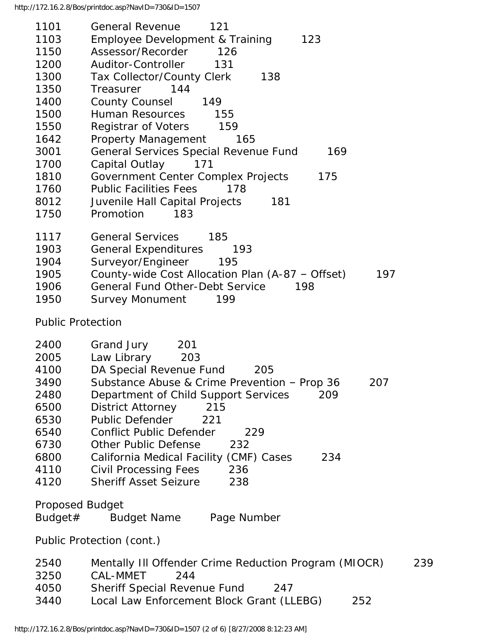| 1101                     | <b>General Revenue</b><br>121                                |
|--------------------------|--------------------------------------------------------------|
| 1103                     | <b>Employee Development &amp; Training</b><br>123            |
| 1150                     | Assessor/Recorder<br>126                                     |
| 1200                     | Auditor-Controller<br>131                                    |
| 1300                     | Tax Collector/County Clerk<br>138                            |
| 1350                     | Treasurer<br>144                                             |
| 1400                     | County Counsel<br>149                                        |
| 1500                     | Human Resources<br>155                                       |
| 1550                     | Registrar of Voters<br>159                                   |
| 1642                     | <b>Property Management</b><br>165                            |
| 3001                     | General Services Special Revenue Fund<br>169                 |
| 1700                     | Capital Outlay<br>171                                        |
| 1810                     | Government Center Complex Projects<br>175                    |
| 1760                     | <b>Public Facilities Fees</b><br>178                         |
| 8012                     | 181                                                          |
| 1750                     | Juvenile Hall Capital Projects<br>Promotion<br>183           |
|                          |                                                              |
| 1117                     | <b>General Services</b><br>185                               |
| 1903                     | <b>General Expenditures</b><br>193                           |
| 1904                     | Surveyor/Engineer<br>195                                     |
| 1905                     | County-wide Cost Allocation Plan (A-87 - Offset)<br>197      |
| 1906                     | <b>General Fund Other-Debt Service</b><br>198                |
| 1950                     | <b>Survey Monument</b><br>199                                |
| <b>Public Protection</b> |                                                              |
|                          |                                                              |
| 2400                     | Grand Jury<br>201                                            |
| 2005                     | Law Library<br>203                                           |
| 4100                     | DA Special Revenue Fund<br>205                               |
| 3490                     | Substance Abuse & Crime Prevention - Prop 36<br>207          |
| 2480                     | Department of Child Support Services<br>209                  |
| 6500                     | <b>District Attorney</b><br>215                              |
| 6530                     | <b>Public Defender</b><br>221                                |
| 6540                     | <b>Conflict Public Defender</b><br>229                       |
| 6730                     | <b>Other Public Defense</b><br>232                           |
| 6800                     | California Medical Facility (CMF) Cases<br>234               |
| 4110                     | Civil Processing Fees<br>236                                 |
| 4120                     | <b>Sheriff Asset Seizure</b><br>238                          |
|                          |                                                              |
| <b>Proposed Budget</b>   |                                                              |
| Budget#                  | <b>Budget Name</b><br>Page Number                            |
|                          | Public Protection (cont.)                                    |
| 2540                     | Mentally III Offender Crime Reduction Program (MIOCR)<br>239 |
| 3250                     | <b>CAL-MMET</b><br>244                                       |
| 4050                     | <b>Sheriff Special Revenue Fund</b><br>247                   |
| 3440                     | Local Law Enforcement Block Grant (LLEBG)<br>252             |
|                          |                                                              |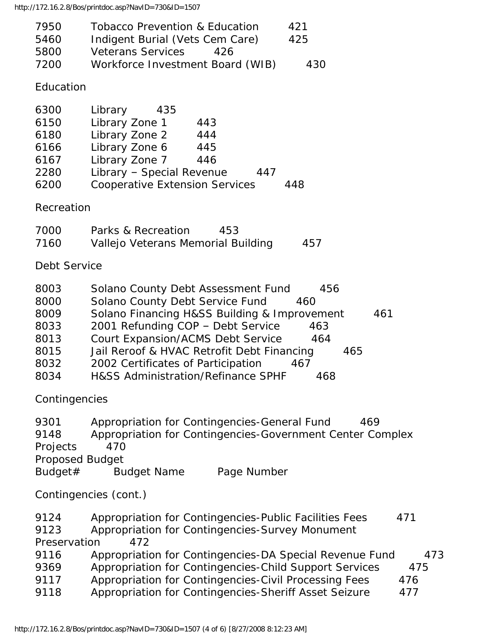http://172.16.2.8/Bos/printdoc.asp?NavID=730&ID=1507

| 7950 | <b>Tobacco Prevention &amp; Education</b> | 421 |
|------|-------------------------------------------|-----|
| 5460 | Indigent Burial (Vets Cem Care)           | 425 |
| 5800 | <b>Veterans Services</b><br>426           |     |
| 7200 | Workforce Investment Board (WIB)          | 430 |
|      |                                           |     |

Education

| 6300 | Library                               | 435 |     |     |     |
|------|---------------------------------------|-----|-----|-----|-----|
| 6150 | Library Zone 1                        |     | 443 |     |     |
| 6180 | Library Zone 2                        |     | 444 |     |     |
| 6166 | Library Zone 6                        |     | 445 |     |     |
| 6167 | Library Zone 7                        |     | 446 |     |     |
| 2280 | Library - Special Revenue             |     |     | 447 |     |
| 6200 | <b>Cooperative Extension Services</b> |     |     |     | 448 |
|      |                                       |     |     |     |     |

Recreation

| 7000 | Parks & Recreation                 | 453 |     |
|------|------------------------------------|-----|-----|
| 7160 | Vallejo Veterans Memorial Building |     | 457 |

Debt Service

| 8003 | Solano County Debt Assessment Fund | 456 |
|------|------------------------------------|-----|
|------|------------------------------------|-----|

- 8000 Solano County Debt Service Fund 460
- 8009 Solano Financing H&SS Building & Improvement 461
- 8033 2001 Refunding COP Debt Service 463
- 8013 Court Expansion/ACMS Debt Service 464
- 8015 Jail Reroof & HVAC Retrofit Debt Financing 465
- 8032 2002 Certificates of Participation 467
- 8034 H&SS Administration/Refinance SPHF 468

Contingencies

| 9301            |                    | Appropriation for Contingencies-General Fund              | 469 |
|-----------------|--------------------|-----------------------------------------------------------|-----|
| 9148            |                    | Appropriation for Contingencies-Government Center Complex |     |
| <b>Projects</b> | 470                |                                                           |     |
| Proposed Budget |                    |                                                           |     |
| Budget#         | <b>Budget Name</b> | Page Number                                               |     |

Contingencies (cont.)

| 9124         | Appropriation for Contingencies-Public Facilities Fees  | 471 |
|--------------|---------------------------------------------------------|-----|
| 9123         | Appropriation for Contingencies-Survey Monument         |     |
| Preservation | 472                                                     |     |
| 9116         | Appropriation for Contingencies-DA Special Revenue Fund | 473 |
| 9369         | Appropriation for Contingencies-Child Support Services  | 475 |
| 9117         | Appropriation for Contingencies-Civil Processing Fees   | 476 |
| 9118         | Appropriation for Contingencies-Sheriff Asset Seizure   | 477 |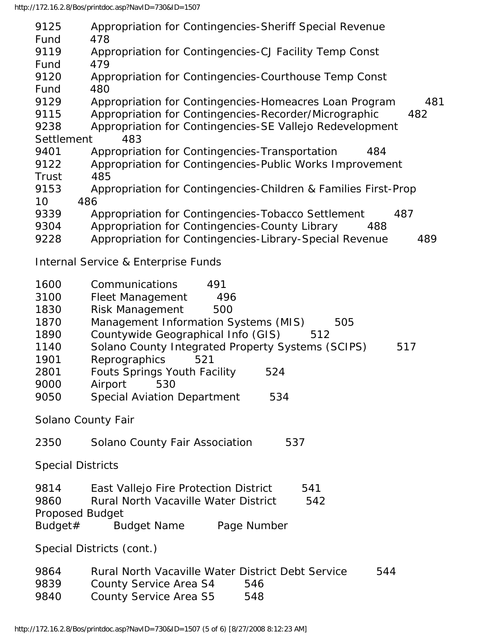| 9125                     | Appropriation for Contingencies-Sheriff Special Revenue                                     |
|--------------------------|---------------------------------------------------------------------------------------------|
| Fund                     | 478                                                                                         |
| 9119                     | Appropriation for Contingencies-CJ Facility Temp Const                                      |
| Fund                     | 479                                                                                         |
| 9120                     | Appropriation for Contingencies-Courthouse Temp Const                                       |
| Fund                     | 480                                                                                         |
| 9129                     | Appropriation for Contingencies-Homeacres Loan Program<br>481                               |
| 9115                     | Appropriation for Contingencies-Recorder/Micrographic<br>482                                |
| 9238                     | Appropriation for Contingencies-SE Vallejo Redevelopment                                    |
| Settlement               | 483                                                                                         |
| 9401                     | Appropriation for Contingencies-Transportation<br>484                                       |
| 9122                     | Appropriation for Contingencies-Public Works Improvement                                    |
| Trust                    | 485                                                                                         |
| 9153                     | Appropriation for Contingencies-Children & Families First-Prop                              |
| 10                       | 486                                                                                         |
| 9339                     | Appropriation for Contingencies-Tobacco Settlement<br>487                                   |
| 9304                     | Appropriation for Contingencies-County Library<br>488                                       |
| 9228                     |                                                                                             |
|                          | Appropriation for Contingencies-Library-Special Revenue<br>489                              |
|                          | Internal Service & Enterprise Funds                                                         |
| 1600                     | Communications<br>491                                                                       |
| 3100                     | <b>Fleet Management</b><br>496                                                              |
| 1830                     | <b>Risk Management</b><br>500                                                               |
| 1870                     | Management Information Systems (MIS)<br>505                                                 |
|                          |                                                                                             |
|                          |                                                                                             |
| 1890                     | Countywide Geographical Info (GIS)<br>512                                                   |
| 1140                     | Solano County Integrated Property Systems (SCIPS)<br>517                                    |
| 1901                     | Reprographics<br>521                                                                        |
| 2801                     | <b>Fouts Springs Youth Facility</b><br>524                                                  |
| 9000                     | Airport 530                                                                                 |
| 9050                     | <b>Special Aviation Department</b><br>534                                                   |
|                          | Solano County Fair                                                                          |
| 2350                     | Solano County Fair Association<br>537                                                       |
| <b>Special Districts</b> |                                                                                             |
| 9814                     | 541                                                                                         |
| 9860                     | East Vallejo Fire Protection District<br><b>Rural North Vacaville Water District</b><br>542 |
|                          |                                                                                             |
| <b>Proposed Budget</b>   |                                                                                             |
| Budget#                  | <b>Budget Name</b><br>Page Number                                                           |
|                          | Special Districts (cont.)                                                                   |
| 9864                     | Rural North Vacaville Water District Debt Service<br>544                                    |
| 9839                     | 546                                                                                         |
| 9840                     | <b>County Service Area S4</b><br>County Service Area S5<br>548                              |